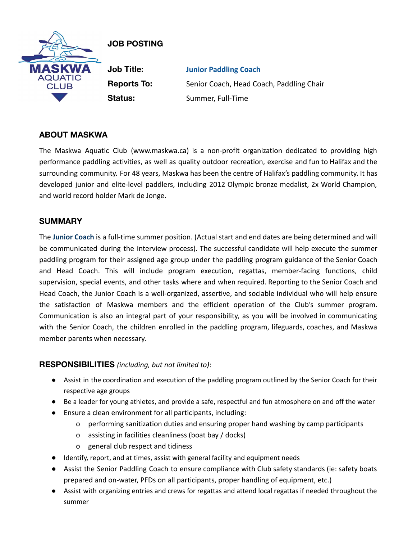

# **JOB POSTING**

**Job Title: Junior Paddling Coach Reports To:** Senior Coach, Head Coach, Paddling Chair **Status:** Summer, Full-Time

## **ABOUT MASKWA**

The Maskwa Aquatic Club (www.maskwa.ca) is a non-profit organization dedicated to providing high performance paddling activities, as well as quality outdoor recreation, exercise and fun to Halifax and the surrounding community. For 48 years, Maskwa has been the centre of Halifax's paddling community. It has developed junior and elite-level paddlers, including 2012 Olympic bronze medalist, 2x World Champion, and world record holder Mark de Jonge.

### **SUMMARY**

The **Junior Coach** is a full-time summer position. (Actual start and end dates are being determined and will be communicated during the interview process). The successful candidate will help execute the summer paddling program for their assigned age group under the paddling program guidance of the Senior Coach and Head Coach. This will include program execution, regattas, member-facing functions, child supervision, special events, and other tasks where and when required. Reporting to the Senior Coach and Head Coach, the Junior Coach is a well-organized, assertive, and sociable individual who will help ensure the satisfaction of Maskwa members and the efficient operation of the Club's summer program. Communication is also an integral part of your responsibility, as you will be involved in communicating with the Senior Coach, the children enrolled in the paddling program, lifeguards, coaches, and Maskwa member parents when necessary.

#### **RESPONSIBILITIES** *(including, but not limited to)*:

- Assist in the coordination and execution of the paddling program outlined by the Senior Coach for their respective age groups
- Be a leader for young athletes, and provide a safe, respectful and fun atmosphere on and off the water
- Ensure a clean environment for all participants, including:
	- o performing sanitization duties and ensuring proper hand washing by camp participants
	- o assisting in facilities cleanliness (boat bay / docks)
	- o general club respect and tidiness
- Identify, report, and at times, assist with general facility and equipment needs
- Assist the Senior Paddling Coach to ensure compliance with Club safety standards (ie: safety boats prepared and on-water, PFDs on all participants, proper handling of equipment, etc.)
- Assist with organizing entries and crews for regattas and attend local regattas if needed throughout the summer